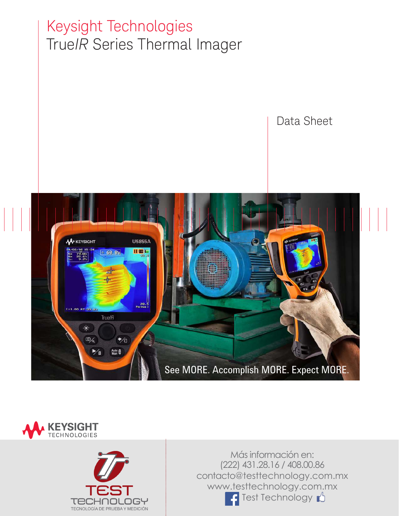# Keysight Technologies True*IR* Series Thermal Imager

Data Sheet







Más información en: (222) 431.28.16 / 408.00.86 contacto@testtechnology.com.mx www.testtechnology.com.mx Test Technology **N**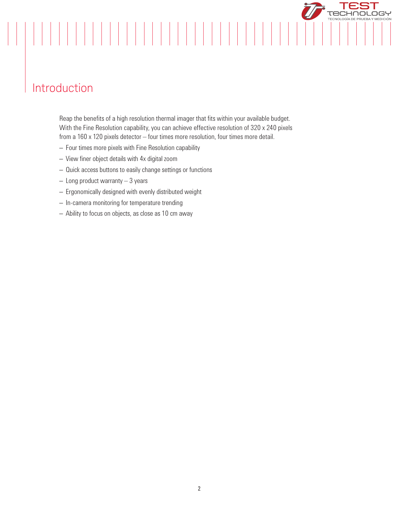## Introduction

Reap the benefits of a high resolution thermal imager that fits within your available budget. With the Fine Resolution capability, you can achieve effective resolution of 320 x 240 pixels from a 160 x 120 pixels detector – four times more resolution, four times more detail.

**TECHNOLOGY** 

- Four times more pixels with Fine Resolution capability
- View finer object details with 4x digital zoom
- Quick access buttons to easily change settings or functions
- Long product warranty 3 years
- Ergonomically designed with evenly distributed weight
- In-camera monitoring for temperature trending
- Ability to focus on objects, as close as 10 cm away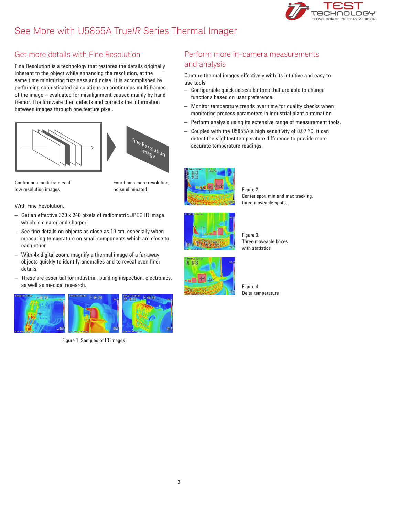### See More with U5855A True*IR* Series Thermal Imager



### Get more details with Fine Resolution

Fine Resolution is a technology that restores the details originally inherent to the object while enhancing the resolution, at the same time minimizing fuzziness and noise. It is accomplished by performing sophisticated calculations on continuous multi-frames of the image – evaluated for misalignment caused mainly by hand tremor. The firmware then detects and corrects the information between images through one feature pixel.





Continuous multi-frames of low resolution images

Four times more resolution, noise eliminated

With Fine Resolution,

- Get an effective 320 x 240 pixels of radiometric JPEG IR image which is clearer and sharper.
- See fine details on objects as close as 10 cm, especially when measuring temperature on small components which are close to each other.
- With 4x digital zoom, magnify a thermal image of a far-away objects quickly to identify anomalies and to reveal even finer details.
- These are essential for industrial, building inspection, electronics, as well as medical research.



Figure 1. Samples of IR images

### Perform more in-camera measurements and analysis

Capture thermal images effectively with its intuitive and easy to use tools:

- Configurable quick access buttons that are able to change functions based on user preference.
- Monitor temperature trends over time for quality checks when monitoring process parameters in industrial plant automation.
- Perform analysis using its extensive range of measurement tools.
- Coupled with the U5855A's high sensitivity of 0.07 °C, it can detect the slightest temperature difference to provide more accurate temperature readings.



Figure 2. Center spot, min and max tracking, three moveable spots.



Figure 3. Three moveable boxes with statistics



Figure 4. Delta temperature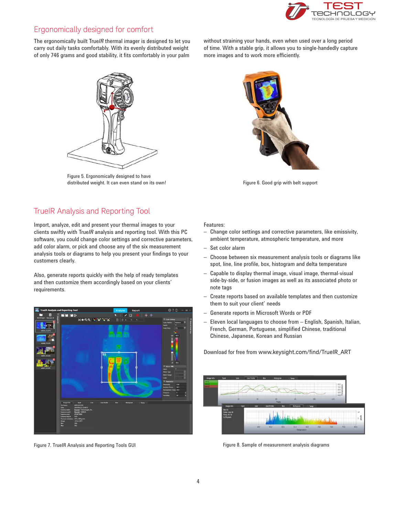

### Ergonomically designed for comfort

The ergonomically built True*IR* thermal imager is designed to let you carry out daily tasks comfortably. With its evenly distributed weight of only 746 grams and good stability, it fits comfortably in your palm

Figure 5. Ergonomically designed to have distributed weight. It can even stand on its own! Figure 6. Good grip with belt support

without straining your hands, even when used over a long period of time. With a stable grip, it allows you to single-handedly capture more images and to work more efficiently.



### TrueIR Analysis and Reporting Tool

Import, analyze, edit and present your thermal images to your clients swiftly with True*IR* analysis and reporting tool. With this PC software, you could change color settings and corrective parameters, add color alarm, or pick and choose any of the six measurement analysis tools or diagrams to help you present your findings to your customers clearly.

Also, generate reports quickly with the help of ready templates and then customize them accordingly based on your clients' requirements.



Features:

- Change color settings and corrective parameters, like emissivity, ambient temperature, atmospheric temperature, and more
- Set color alarm
- Choose between six measurement analysis tools or diagrams like spot, line, line profile, box, histogram and delta temperature
- Capable to display thermal image, visual image, thermal-visual side-by-side, or fusion images as well as its associated photo or note tags
- Create reports based on available templates and then customize them to suit your client' needs
- Generate reports in Microsoft Words or PDF
- Eleven local languages to choose from English, Spanish, Italian, French, German, Portuguese, simplified Chinese, traditional Chinese, Japanese, Korean and Russian

Download for free from www.keysight.com/find/TrueIR\_ART



Figure 7. TrueIR Analysis and Reporting Tools GUI Figure 8. Sample of measurement analysis diagrams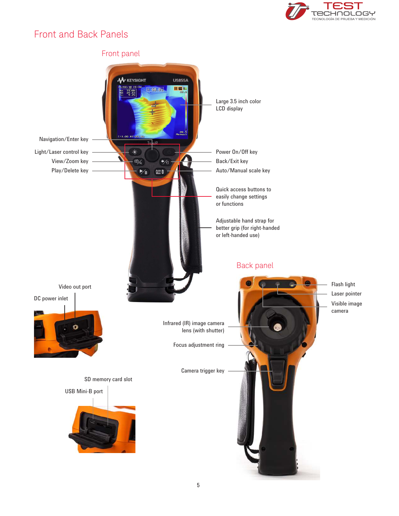

### Front and Back Panels

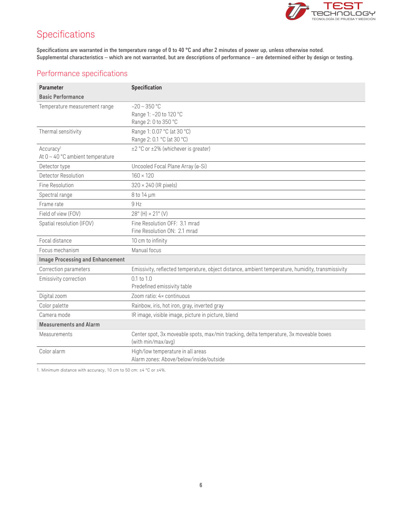

### Specifications

Specifications are warranted in the temperature range of 0 to 40 °C and after 2 minutes of power up, unless otherwise noted. Supplemental characteristics – which are not warranted, but are descriptions of performance – are determined either by design or testing.

### Performance specifications

| Parameter                                                      | Specification                                                                                                |
|----------------------------------------------------------------|--------------------------------------------------------------------------------------------------------------|
| <b>Basic Performance</b>                                       |                                                                                                              |
| Temperature measurement range                                  | $-20 \sim 350$ °C<br>Range 1: -20 to 120 °C<br>Range 2: 0 to 350 °C                                          |
| Thermal sensitivity                                            | Range 1: 0.07 °C (at 30 °C)<br>Range 2: 0.1 °C (at 30 °C)                                                    |
| Accuracy <sup>1</sup><br>At $0 \sim 40$ °C ambient temperature | ±2 °C or ±2% (whichever is greater)                                                                          |
| Detector type                                                  | Uncooled Focal Plane Array (a-Si)                                                                            |
| <b>Detector Resolution</b>                                     | $160 \times 120$                                                                                             |
| Fine Resolution                                                | 320 × 240 (IR pixels)                                                                                        |
| Spectral range                                                 | 8 to 14 µm                                                                                                   |
| Frame rate                                                     | 9 Hz                                                                                                         |
| Field of view (FOV)                                            | $28^{\circ}$ (H) $\times$ 21° (V)                                                                            |
| Spatial resolution (IFOV)                                      | Fine Resolution OFF: 3.1 mrad<br>Fine Resolution ON: 2.1 mrad                                                |
| Focal distance                                                 | 10 cm to infinity                                                                                            |
| Focus mechanism                                                | Manual focus                                                                                                 |
| <b>Image Processing and Enhancement</b>                        |                                                                                                              |
| Correction parameters                                          | Emissivity, reflected temperature, object distance, ambient temperature, humidity, transmissivity            |
| Emissivity correction                                          | $0.1$ to $1.0$<br>Predefined emissivity table                                                                |
| Digital zoom                                                   | Zoom ratio: 4× continuous                                                                                    |
| Color palette                                                  | Rainbow, iris, hot iron, gray, inverted gray                                                                 |
| Camera mode                                                    | IR image, visible image, picture in picture, blend                                                           |
| <b>Measurements and Alarm</b>                                  |                                                                                                              |
| Measurements                                                   | Center spot, 3x moveable spots, max/min tracking, delta temperature, 3x moveable boxes<br>(with min/max/avg) |
| Color alarm                                                    | High/low temperature in all areas<br>Alarm zones: Above/below/inside/outside                                 |

1. Minimum distance with accuracy, 10 cm to 50 cm: ±4 °C or ±4%.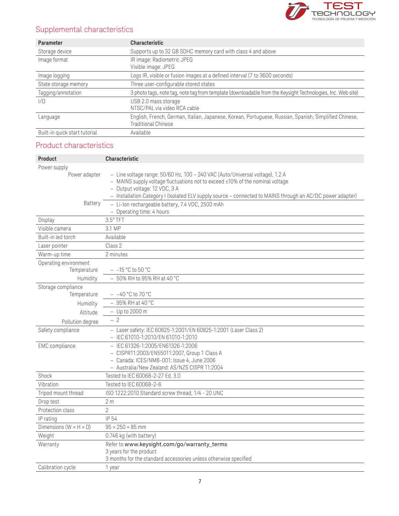

### Supplemental characteristics

| <b>Parameter</b>              | <b>Characteristic</b>                                                                                                               |
|-------------------------------|-------------------------------------------------------------------------------------------------------------------------------------|
| Storage device                | Supports up to 32 GB SDHC memory card with class 4 and above                                                                        |
| Image format                  | IR image: Radiometric JPEG<br>Visible image: JPEG                                                                                   |
| Image logging                 | Logs IR, visible or fusion images at a defined interval (7 to 3600 seconds)                                                         |
| State storage memory          | Three user-configurable stored states                                                                                               |
| Tagging/annotation            | 3 photo tags, note tag, note tag from template (downloadable from the Keysight Technologies, Inc. Web site)                         |
| 1/0                           | USB 2.0 mass storage<br>NTSC/PAL via video RCA cable                                                                                |
| Language                      | English, French, German, Italian, Japanese, Korean, Portuguese, Russian, Spanish, Simplified Chinese,<br><b>Traditional Chinese</b> |
| Built-in quick start tutorial | Available                                                                                                                           |

### Product characteristics

| Product                              | <b>Characteristic</b>                                                                                                                                                                                                                                                                                         |
|--------------------------------------|---------------------------------------------------------------------------------------------------------------------------------------------------------------------------------------------------------------------------------------------------------------------------------------------------------------|
| Power supply                         |                                                                                                                                                                                                                                                                                                               |
| Power adapter                        | - Line voltage range: 50/60 Hz, 100 - 240 VAC (Auto/Universal voltage), 1.2 A<br>- MAINS supply voltage fluctuations not to exceed ±10% of the nominal voltage<br>- Output voltage: 12 VDC, 3 A<br>- Installation Category I (Isolated ELV supply source - connected to MAINS through an AC/DC power adapter) |
| Battery                              | - Li-lon rechargeable battery, 7.4 VDC, 2500 mAh<br>- Operating time: 4 hours                                                                                                                                                                                                                                 |
| Display                              | 3.5" TFT                                                                                                                                                                                                                                                                                                      |
| Visible camera                       | 3.1 MP                                                                                                                                                                                                                                                                                                        |
| Built-in led torch                   | Available                                                                                                                                                                                                                                                                                                     |
| Laser pointer                        | Class 2                                                                                                                                                                                                                                                                                                       |
| Warm-up time                         | 2 minutes                                                                                                                                                                                                                                                                                                     |
| Operating environment                |                                                                                                                                                                                                                                                                                                               |
| Temperature                          | $-$ -15 °C to 50 °C                                                                                                                                                                                                                                                                                           |
| Humidity                             | $-50\%$ RH to 95% RH at 40 °C                                                                                                                                                                                                                                                                                 |
| Storage compliance                   |                                                                                                                                                                                                                                                                                                               |
| Temperature                          | $-40^{\circ}$ C to 70 °C                                                                                                                                                                                                                                                                                      |
| Humidity                             | $-95\%$ RH at 40 °C                                                                                                                                                                                                                                                                                           |
| Altitude                             | $-$ Up to 2000 m                                                                                                                                                                                                                                                                                              |
| Pollution degree                     | $-2$                                                                                                                                                                                                                                                                                                          |
| Safety compliance                    | - Laser safety: IEC 60825-1:2001/EN 60825-1:2001 (Laser Class 2)<br>- IEC 61010-1:2010/EN 61010-1:2010                                                                                                                                                                                                        |
| <b>EMC</b> compliance                | - IEC 61326-1:2005/EN61326-1:2006<br>- CISPR11:2003/EN55011:2007, Group 1 Class A<br>- Canada: ICES/NMB-001: Issue 4, June 2006<br>- Australia/New Zealand: AS/NZS CISPR 11:2004                                                                                                                              |
| Shock                                | Tested to IEC 60068-2-27 Ed. 3.0                                                                                                                                                                                                                                                                              |
| Vibration                            | Tested to IEC 60068-2-6                                                                                                                                                                                                                                                                                       |
| Tripod mount thread                  | ISO 1222:2010 Standard screw thread, 1/4 - 20 UNC                                                                                                                                                                                                                                                             |
| Drop test                            | 2 <sub>m</sub>                                                                                                                                                                                                                                                                                                |
| Protection class                     | $\overline{2}$                                                                                                                                                                                                                                                                                                |
| IP rating                            | IP 54                                                                                                                                                                                                                                                                                                         |
| Dimensions ( $W \times H \times D$ ) | $95 \times 250 \times 85$ mm                                                                                                                                                                                                                                                                                  |
| Weight                               | 0.746 kg (with battery)                                                                                                                                                                                                                                                                                       |
| Warranty                             | Refer to www.keysight.com/go/warranty_terms<br>3 years for the product<br>3 months for the standard accessories unless otherwise specified                                                                                                                                                                    |
| Calibration cycle                    | 1 year                                                                                                                                                                                                                                                                                                        |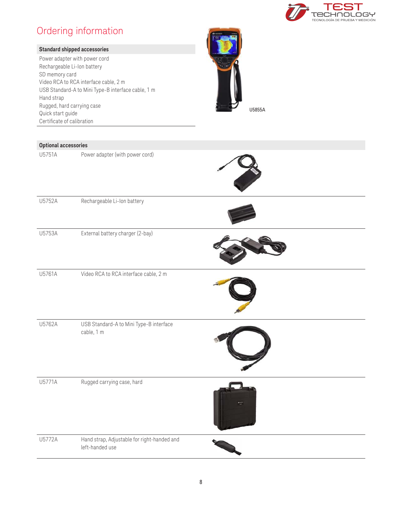

### Ordering information

| <b>Standard shipped accessories</b><br>Power adapter with power cord<br>Rechargeable Li-Ion battery<br>SD memory card<br>Video RCA to RCA interface cable, 2 m<br>USB Standard-A to Mini Type-B interface cable, 1 m<br>Hand strap<br>Rugged, hard carrying case<br>Quick start guide<br>Certificate of calibration |                                       | U5855A |
|---------------------------------------------------------------------------------------------------------------------------------------------------------------------------------------------------------------------------------------------------------------------------------------------------------------------|---------------------------------------|--------|
| <b>Optional accessories</b>                                                                                                                                                                                                                                                                                         |                                       |        |
| U5751A                                                                                                                                                                                                                                                                                                              | Power adapter (with power cord)       |        |
| U5752A                                                                                                                                                                                                                                                                                                              | Rechargeable Li-Ion battery           |        |
| U5753A                                                                                                                                                                                                                                                                                                              | External battery charger (2-bay)      |        |
| U5761A                                                                                                                                                                                                                                                                                                              | Video RCA to RCA interface cable, 2 m |        |

U5762A USB Standard-A to Mini Type-B interface cable, 1 m U5771A Rugged carrying case, hard U5772A Hand strap, Adjustable for right-handed and left-handed use